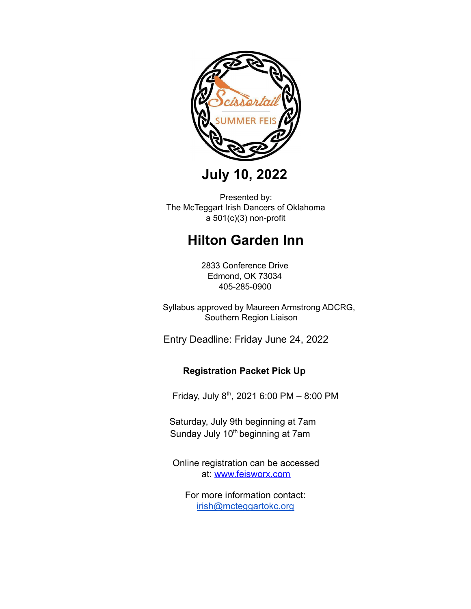

**July 10, 2022**

Presented by: The McTeggart Irish Dancers of Oklahoma a 501(c)(3) non-profit

# **Hilton Garden Inn**

2833 Conference Drive Edmond, OK 73034 405-285-0900

Syllabus approved by Maureen Armstrong ADCRG, Southern Region Liaison

Entry Deadline: Friday June 24, 2022

## **Registration Packet Pick Up**

Friday, July 8th, 2021 6:00 PM – 8:00 PM

Saturday, July 9th beginning at 7am Sunday July 10<sup>th</sup> beginning at 7am

Online registration can be accessed at: [www.feisworx.com](http://www.feisworx.com/)

For more information contact: [irish@mcteggartokc.org](mailto:info@mcteggartokc.org)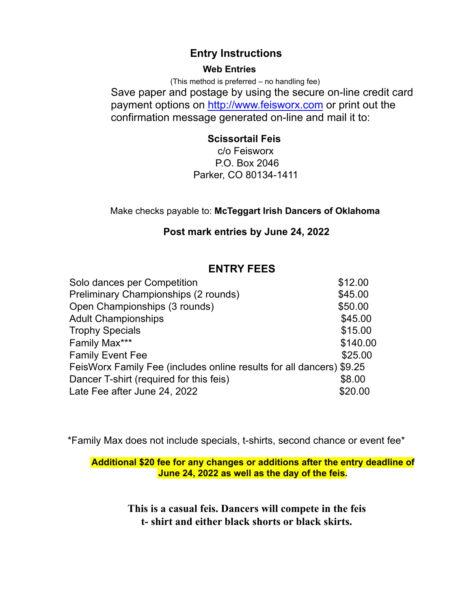# **Entry Instructions**

### **Web Entries**

(This method is preferred – no handling fee) Save paper and postage by using the secure on-line credit card payment options on [http://www.feisworx.com](http://www.feisworx.com/) or print out the confirmation message generated on-line and mail it to:

# **Scissortail Feis**

c/o Feisworx P.O. Box 2046 Parker, CO 80134-1411

Make checks payable to: **McTeggart Irish Dancers of Oklahoma**

## **Post mark entries by June 24, 2022**

# **ENTRY FEES**

| Solo dances per Competition                                          | \$12.00  |
|----------------------------------------------------------------------|----------|
| Preliminary Championships (2 rounds)                                 | \$45.00  |
| Open Championships (3 rounds)                                        | \$50.00  |
| <b>Adult Championships</b>                                           | \$45.00  |
| <b>Trophy Specials</b>                                               | \$15.00  |
| Family Max***                                                        | \$140.00 |
| <b>Family Event Fee</b>                                              | \$25.00  |
| FeisWorx Family Fee (includes online results for all dancers) \$9.25 |          |
| Dancer T-shirt (required for this feis)                              | \$8.00   |
| Late Fee after June 24, 2022                                         | \$20.00  |
|                                                                      |          |

\*Family Max does not include specials, t-shirts, second chance or event fee\*

**Additional \$20 fee for any changes or additions after the entry deadline of June 24, 2022 as well as the day of the feis.**

> **This is a casual feis. Dancers will compete in the feis t- shirt and either black shorts or black skirts.**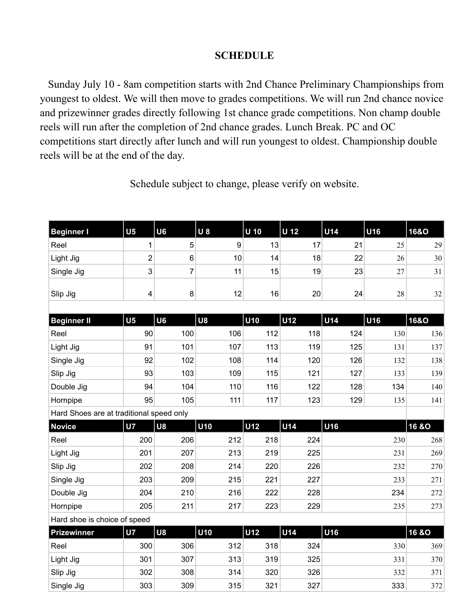## **SCHEDULE**

Sunday July 10 - 8am competition starts with 2nd Chance Preliminary Championships from youngest to oldest. We will then move to grades competitions. We will run 2nd chance novice and prizewinner grades directly following 1st chance grade competitions. Non champ double reels will run after the completion of 2nd chance grades. Lunch Break. PC and OC competitions start directly after lunch and will run youngest to oldest. Championship double reels will be at the end of the day.

| <b>Beginner I</b>                        | U <sub>5</sub>          | U6             | <b>U8</b> | $U$ 10     | U 12       | <b>U14</b> | U16 | <b>16&amp;O</b>  |
|------------------------------------------|-------------------------|----------------|-----------|------------|------------|------------|-----|------------------|
| Reel                                     | 1                       | $\sqrt{5}$     | 9         | 13         | 17         | 21         | 25  | 29               |
| Light Jig                                | $\overline{2}$          | $\,6\,$        | 10        | 14         | 18         | 22         | 26  | 30               |
| Single Jig                               | 3                       | $\overline{7}$ | 11        | 15         | 19         | 23         | 27  | 31               |
| Slip Jig                                 | $\overline{\mathbf{4}}$ | 8              | 12        | 16         | 20         | 24         | 28  | 32               |
| <b>Beginner II</b>                       | U <sub>5</sub>          | U6             | U8        | <b>U10</b> | <b>U12</b> | <b>U14</b> | U16 | <b>16&amp;O</b>  |
| Reel                                     | 90                      | 100            | 106       | 112        | 118        | 124        | 130 | 136              |
| Light Jig                                | 91                      | 101            | 107       | 113        | 119        | 125        | 131 | 137              |
| Single Jig                               | 92                      | 102            | 108       | 114        | 120        | 126        | 132 | 138              |
| Slip Jig                                 | 93                      | 103            | 109       | 115        | 121        | 127        | 133 | 139              |
| Double Jig                               | 94                      | 104            | 110       | 116        | 122        | 128        | 134 | 140              |
| Hornpipe                                 | 95                      | 105            | 111       | 117        | 123        | 129        | 135 | 141              |
| Hard Shoes are at traditional speed only |                         |                |           |            |            |            |     |                  |
| <b>Novice</b>                            | <b>U7</b>               | <b>U8</b>      | U10       | <b>U12</b> | <b>U14</b> | U16        |     | <b>16 &amp;O</b> |
| Reel                                     | 200                     | 206            | 212       | 218        | 224        |            | 230 | 268              |
| Light Jig                                | 201                     | 207            | 213       | 219        | 225        |            | 231 | 269              |
| Slip Jig                                 | 202                     | 208            | 214       | 220        | 226        |            | 232 | 270              |
| Single Jig                               | 203                     | 209            | 215       | 221        | 227        |            | 233 | 271              |
| Double Jig                               | 204                     | 210            | 216       | 222        | 228        |            | 234 | 272              |
| Hornpipe                                 | 205                     | 211            | 217       | 223        | 229        |            | 235 | 273              |
| Hard shoe is choice of speed             |                         |                |           |            |            |            |     |                  |
| <b>Prizewinner</b>                       | <b>U7</b>               | <b>U8</b>      | U10       | <b>U12</b> | <b>U14</b> | U16        |     | <b>16 &amp;O</b> |
| Reel                                     | 300                     | 306            | 312       | 318        | 324        |            | 330 | 369              |
| Light Jig                                | 301                     | 307            | 313       | 319        | 325        |            | 331 | 370              |
| Slip Jig                                 | 302                     | 308            | 314       | 320        | 326        |            | 332 | 371              |

Single Jig 303 309 315 321 327 333 372

Schedule subject to change, please verify on website.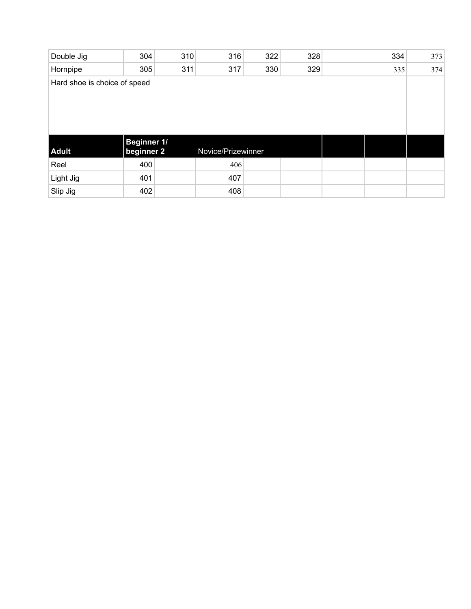| Double Jig                   | 304                              | 310 | 316                | 322 | 328 |  | 334 | 373 |  |
|------------------------------|----------------------------------|-----|--------------------|-----|-----|--|-----|-----|--|
| Hornpipe                     | 305                              | 311 | 317                | 330 | 329 |  | 335 | 374 |  |
| Hard shoe is choice of speed |                                  |     |                    |     |     |  |     |     |  |
|                              |                                  |     |                    |     |     |  |     |     |  |
|                              |                                  |     |                    |     |     |  |     |     |  |
|                              |                                  |     |                    |     |     |  |     |     |  |
|                              |                                  |     |                    |     |     |  |     |     |  |
| Adult                        | <b>Beginner 1/</b><br>beginner 2 |     | Novice/Prizewinner |     |     |  |     |     |  |
| Reel                         | 400                              |     | 406                |     |     |  |     |     |  |
| Light Jig                    | 401                              |     | 407                |     |     |  |     |     |  |
| Slip Jig                     | 402                              |     | 408                |     |     |  |     |     |  |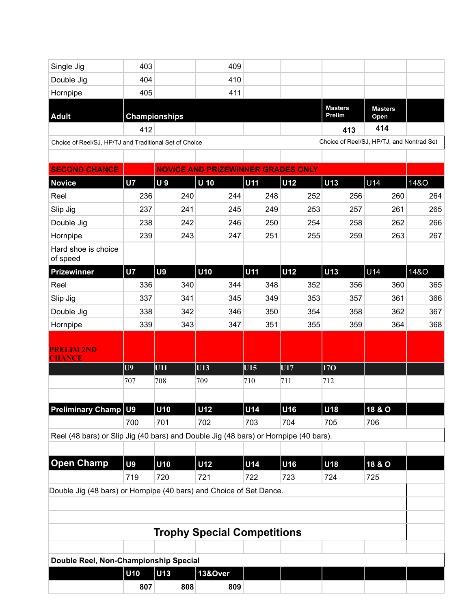| Single Jig                                                                           | 403            |                      | 409                                       |            |            |                          |                                           |                 |
|--------------------------------------------------------------------------------------|----------------|----------------------|-------------------------------------------|------------|------------|--------------------------|-------------------------------------------|-----------------|
| Double Jig                                                                           | 404            |                      | 410                                       |            |            |                          |                                           |                 |
| Hornpipe                                                                             | 405            |                      | 411                                       |            |            |                          |                                           |                 |
| <b>Adult</b>                                                                         |                | <b>Championships</b> |                                           |            |            | <b>Masters</b><br>Prelim | <b>Masters</b><br>Open                    |                 |
|                                                                                      | 412            |                      |                                           |            |            | 413                      | 414                                       |                 |
| Choice of Reel/SJ, HP/TJ and Traditional Set of Choice                               |                |                      |                                           |            |            |                          | Choice of Reel/SJ, HP/TJ, and Nontrad Set |                 |
|                                                                                      |                |                      |                                           |            |            |                          |                                           |                 |
| <b>SECOND CHANCE</b>                                                                 |                |                      | <b>NOVICE AND PRIZEWINNER GRADES ONLY</b> |            |            |                          |                                           |                 |
| <b>Novice</b>                                                                        | <b>U7</b>      | <b>U9</b>            | $\overline{u}$ 10                         | U11        | <b>U12</b> | U13                      | U14                                       | 14&O            |
| Reel                                                                                 | 236            | 240                  | 244                                       | 248        | 252        | 256                      | 260                                       | 264             |
| Slip Jig                                                                             | 237            | 241                  | 245                                       | 249        | 253        | 257                      | 261                                       | 265             |
| Double Jig                                                                           | 238            | 242                  | 246                                       | 250        | 254        | 258                      | 262                                       | 266             |
| Hornpipe                                                                             | 239            | 243                  | 247                                       | 251        | 255        | 259                      | 263                                       | 267             |
| Hard shoe is choice<br>of speed                                                      |                |                      |                                           |            |            |                          |                                           |                 |
| <b>Prizewinner</b>                                                                   | <b>U7</b>      | <b>U9</b>            | <b>U10</b>                                | <b>U11</b> | <b>U12</b> | <b>U13</b>               | U14                                       | <b>14&amp;O</b> |
| Reel                                                                                 | 336            | 340                  | 344                                       | 348        | 352        | 356                      | 360                                       | 365             |
| Slip Jig                                                                             | 337            | 341                  | 345                                       | 349        | 353        | 357                      | 361                                       | 366             |
| Double Jig                                                                           | 338            | 342                  | 346                                       | 350        | 354        | 358                      | 362                                       | 367             |
| Hornpipe                                                                             | 339            | 343                  | 347                                       | 351        | 355        | 359                      | 364                                       | 368             |
|                                                                                      |                |                      |                                           |            |            |                          |                                           |                 |
| <b>PRELIM 2ND</b><br><b>CHANCE</b>                                                   |                |                      |                                           |            |            |                          |                                           |                 |
|                                                                                      | U9             | U11                  | U13                                       | U15        | U17        | <b>170</b>               |                                           |                 |
|                                                                                      | 707            | 708                  | 709                                       | 710        | 711        | 712                      |                                           |                 |
|                                                                                      |                |                      |                                           |            |            |                          |                                           |                 |
| <b>Preliminary Champ</b>                                                             | U <sub>9</sub> | U10                  | U12                                       | U14        | U16        | U18                      | 18 & O                                    |                 |
|                                                                                      | 700            | 701                  | 702                                       | 703        | 704        | 705                      | 706                                       |                 |
| Reel (48 bars) or Slip Jig (40 bars) and Double Jig (48 bars) or Hornpipe (40 bars). |                |                      |                                           |            |            |                          |                                           |                 |
|                                                                                      |                |                      |                                           |            |            |                          |                                           |                 |
| <b>Open Champ</b>                                                                    | U <sub>9</sub> | U10                  | U12                                       | U14        | U16        | U18                      | 18 & O                                    |                 |
|                                                                                      | 719            | 720                  | 721                                       | 722        | 723        | 724                      | 725                                       |                 |
| Double Jig (48 bars) or Hornpipe (40 bars) and Choice of Set Dance.                  |                |                      |                                           |            |            |                          |                                           |                 |
|                                                                                      |                |                      |                                           |            |            |                          |                                           |                 |
|                                                                                      |                |                      |                                           |            |            |                          |                                           |                 |
|                                                                                      |                |                      | <b>Trophy Special Competitions</b>        |            |            |                          |                                           |                 |
|                                                                                      |                |                      |                                           |            |            |                          |                                           |                 |
| Double Reel, Non-Championship Special                                                |                |                      |                                           |            |            |                          |                                           |                 |
|                                                                                      | U10            | U13                  | 13&Over                                   |            |            |                          |                                           |                 |
|                                                                                      | 807            | 808                  | 809                                       |            |            |                          |                                           |                 |
|                                                                                      |                |                      |                                           |            |            |                          |                                           |                 |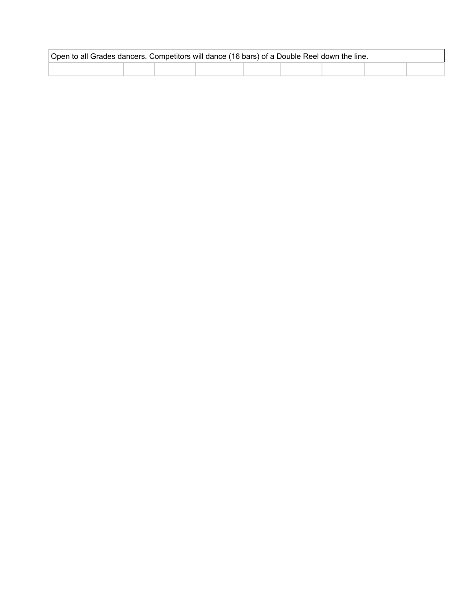| Open to all Grades dancers. Competitors will dance (16 bars) of a Double Reel down the line. |  |  |  |  |  |  |  |  |
|----------------------------------------------------------------------------------------------|--|--|--|--|--|--|--|--|
|                                                                                              |  |  |  |  |  |  |  |  |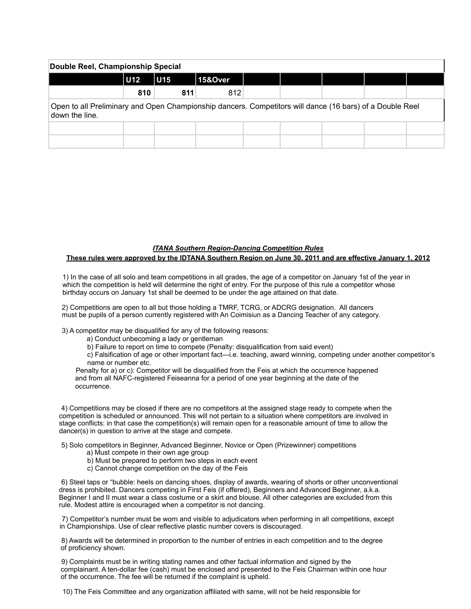| Double Reel, Championship Special                                                                                          |                 |     |         |  |  |  |  |  |  |  |
|----------------------------------------------------------------------------------------------------------------------------|-----------------|-----|---------|--|--|--|--|--|--|--|
|                                                                                                                            | U <sub>12</sub> | U15 | 15&Over |  |  |  |  |  |  |  |
|                                                                                                                            | 810             | 811 | 812     |  |  |  |  |  |  |  |
| Open to all Preliminary and Open Championship dancers. Competitors will dance (16 bars) of a Double Reel<br>down the line. |                 |     |         |  |  |  |  |  |  |  |
|                                                                                                                            |                 |     |         |  |  |  |  |  |  |  |
|                                                                                                                            |                 |     |         |  |  |  |  |  |  |  |

### *ITANA Southern Region-Dancing Competition Rules* **These rules were approved by the IDTANA Southern Region on June 30, 2011 and are effective January 1, 2012**

1) In the case of all solo and team competitions in all grades, the age of a competitor on January 1st of the year in which the competition is held will determine the right of entry. For the purpose of this rule a competitor whose birthday occurs on January 1st shall be deemed to be under the age attained on that date.

2) Competitions are open to all but those holding a TMRF, TCRG, or ADCRG designation. All dancers must be pupils of a person currently registered with An Coimisiun as a Dancing Teacher of any category.

3) A competitor may be disqualified for any of the following reasons:

- a) Conduct unbecoming a lady or gentleman
- b) Failure to report on time to compete (Penalty: disqualification from said event)

c) Falsification of age or other important fact—i.e. teaching, award winning, competing under another competitor's name or number etc.

Penalty for a) or c): Competitor will be disqualified from the Feis at which the occurrence happened and from all NAFC-registered Feiseanna for a period of one year beginning at the date of the occurrence.

4) Competitions may be closed if there are no competitors at the assigned stage ready to compete when the competition is scheduled or announced. This will not pertain to a situation where competitors are involved in stage conflicts: in that case the competition(s) will remain open for a reasonable amount of time to allow the dancer(s) in question to arrive at the stage and compete.

5) Solo competitors in Beginner, Advanced Beginner, Novice or Open (Prizewinner) competitions

- a) Must compete in their own age group
- b) Must be prepared to perform two steps in each event
- c) Cannot change competition on the day of the Feis

6) Steel taps or "bubble: heels on dancing shoes, display of awards, wearing of shorts or other unconventional dress is prohibited. Dancers competing in First Feis (if offered), Beginners and Advanced Beginner, a.k.a. Beginner I and II must wear a class costume or a skirt and blouse. All other categories are excluded from this rule. Modest attire is encouraged when a competitor is not dancing.

7) Competitor's number must be worn and visible to adjudicators when performing in all competitions, except in Championships. Use of clear reflective plastic number covers is discouraged.

8) Awards will be determined in proportion to the number of entries in each competition and to the degree of proficiency shown.

9) Complaints must be in writing stating names and other factual information and signed by the complainant. A ten-dollar fee (cash) must be enclosed and presented to the Feis Chairman within one hour of the occurrence. The fee will be returned if the complaint is upheld.

10) The Feis Committee and any organization affiliated with same, will not be held responsible for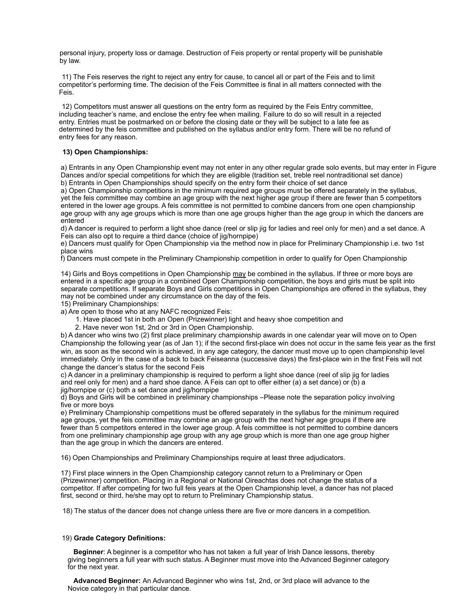personal injury, property loss or damage. Destruction of Feis property or rental property will be punishable by law.

11) The Feis reserves the right to reject any entry for cause, to cancel all or part of the Feis and to limit competitor's performing time. The decision of the Feis Committee is final in all matters connected with the Feis.

12) Competitors must answer all questions on the entry form as required by the Feis Entry committee, including teacher's name, and enclose the entry fee when mailing. Failure to do so will result in a rejected entry. Entries must be postmarked on or before the closing date or they will be subject to a late fee as determined by the feis committee and published on the syllabus and/or entry form. There will be no refund of entry fees for any reason.

#### **13) Open Championships:**

a) Entrants in any Open Championship event may not enter in any other regular grade solo events, but may enter in Figure Dances and/or special competitions for which they are eligible (tradition set, treble reel nontraditional set dance) b) Entrants in Open Championships should specify on the entry form their choice of set dance

a) Open Championship competitions in the minimum required age groups must be offered separately in the syllabus, yet the feis committee may combine an age group with the next higher age group if there are fewer than 5 competitors entered in the lower age groups. A feis committee is not permitted to combine dancers from one open championship age group with any age groups which is more than one age groups higher than the age group in which the dancers are entered

d) A dancer is required to perform a light shoe dance (reel or slip jig for ladies and reel only for men) and a set dance. A Feis can also opt to require a third dance (choice of jig/hornpipe)

e) Dancers must qualify for Open Championship via the method now in place for Preliminary Championship i.e. two 1st place wins

f) Dancers must compete in the Preliminary Championship competition in order to qualify for Open Championship

14) Girls and Boys competitions in Open Championship may be combined in the syllabus. If three or more boys are entered in a specific age group in a combined Open Championship competition, the boys and girls must be split into separate competitions. If separate Boys and Girls competitions in Open Championships are offered in the syllabus, they may not be combined under any circumstance on the day of the feis.

15) Preliminary Championships:

a) Are open to those who at any NAFC recognized Feis:

- 1. Have placed 1st in both an Open (Prizewinner) light and heavy shoe competition and
- 2. Have never won 1st, 2nd or 3rd in Open Championship.

b) A dancer who wins two (2) first place preliminary championship awards in one calendar year will move on to Open Championship the following year (as of Jan 1); if the second first-place win does not occur in the same feis year as the first win, as soon as the second win is achieved, in any age category, the dancer must move up to open championship level immediately. Only in the case of a back to back Feiseanna (successive days) the first-place win in the first Feis will not change the dancer's status for the second Feis

c) A dancer in a preliminary championship is required to perform a light shoe dance (reel of slip jig for ladies and reel only for men) and a hard shoe dance. A Feis can opt to offer either (a) a set dance) or (b) a jig/hornpipe or (c) both a set dance and jig/hornpipe

d) Boys and Girls will be combined in preliminary championships –Please note the separation policy involving five or more boys

e) Preliminary Championship competitions must be offered separately in the syllabus for the minimum required age groups, yet the feis committee may combine an age group with the next higher age groups if there are fewer than 5 competitors entered in the lower age group. A feis committee is not permitted to combine dancers from one preliminary championship age group with any age group which is more than one age group higher than the age group in which the dancers are entered.

16) Open Championships and Preliminary Championships require at least three adjudicators.

17) First place winners in the Open Championship category cannot return to a Preliminary or Open (Prizewinner) competition. Placing in a Regional or National Oireachtas does not change the status of a competitor. If after competing for two full feis years at the Open Championship level, a dancer has not placed first, second or third, he/she may opt to return to Preliminary Championship status.

18) The status of the dancer does not change unless there are five or more dancers in a competition.

#### 19) **Grade Category Definitions:**

**Beginner**: A beginner is a competitor who has not taken a full year of Irish Dance lessons, thereby giving beginners a full year with such status. A Beginner must move into the Advanced Beginner category for the next year.

**Advanced Beginner:** An Advanced Beginner who wins 1st, 2nd, or 3rd place will advance to the Novice category in that particular dance.